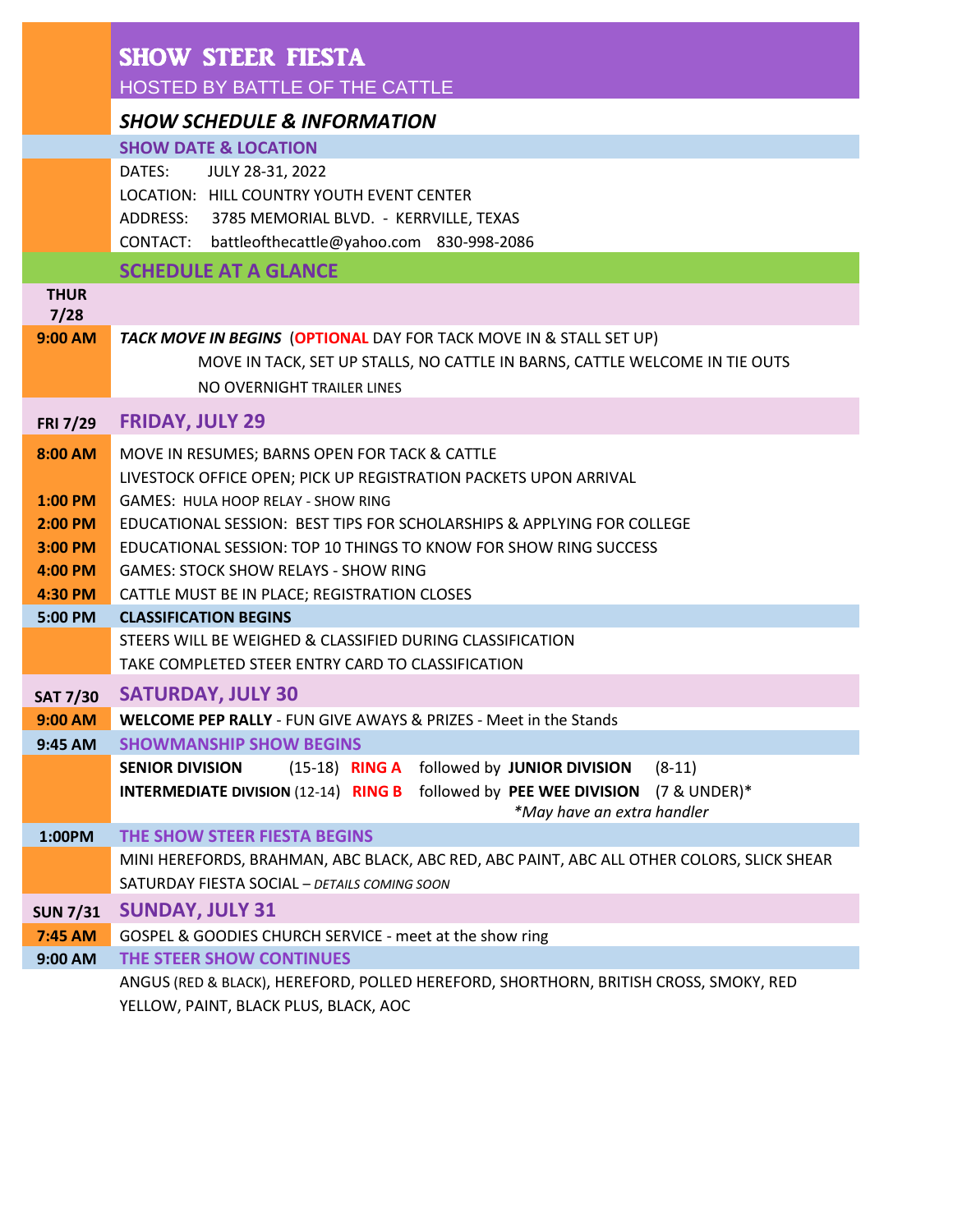|                            | <b>SHOW STEER FIESTA</b>                                                                                                                  |  |  |
|----------------------------|-------------------------------------------------------------------------------------------------------------------------------------------|--|--|
|                            | HOSTED BY BATTLE OF THE CATTLE                                                                                                            |  |  |
|                            | <b>SHOW SCHEDULE &amp; INFORMATION</b>                                                                                                    |  |  |
|                            | <b>SHOW DATE &amp; LOCATION</b>                                                                                                           |  |  |
|                            | DATES:<br>JULY 28-31, 2022                                                                                                                |  |  |
|                            | LOCATION: HILL COUNTRY YOUTH EVENT CENTER                                                                                                 |  |  |
|                            | ADDRESS: 3785 MEMORIAL BLVD. - KERRVILLE, TEXAS                                                                                           |  |  |
|                            | CONTACT: battleofthecattle@yahoo.com 830-998-2086                                                                                         |  |  |
| <b>THUR</b>                | <b>SCHEDULE AT A GLANCE</b>                                                                                                               |  |  |
| 7/28                       |                                                                                                                                           |  |  |
| 9:00 AM                    | TACK MOVE IN BEGINS (OPTIONAL DAY FOR TACK MOVE IN & STALL SET UP)                                                                        |  |  |
|                            | MOVE IN TACK, SET UP STALLS, NO CATTLE IN BARNS, CATTLE WELCOME IN TIE OUTS                                                               |  |  |
|                            | NO OVERNIGHT TRAILER LINES                                                                                                                |  |  |
| FRI 7/29                   | <b>FRIDAY, JULY 29</b>                                                                                                                    |  |  |
| 8:00 AM                    | MOVE IN RESUMES; BARNS OPEN FOR TACK & CATTLE                                                                                             |  |  |
|                            | LIVESTOCK OFFICE OPEN; PICK UP REGISTRATION PACKETS UPON ARRIVAL                                                                          |  |  |
| $1:00$ PM                  | GAMES: HULA HOOP RELAY - SHOW RING                                                                                                        |  |  |
| 2:00 PM                    | EDUCATIONAL SESSION: BEST TIPS FOR SCHOLARSHIPS & APPLYING FOR COLLEGE                                                                    |  |  |
| 3:00 PM                    | EDUCATIONAL SESSION: TOP 10 THINGS TO KNOW FOR SHOW RING SUCCESS                                                                          |  |  |
| 4:00 PM                    | <b>GAMES: STOCK SHOW RELAYS - SHOW RING</b>                                                                                               |  |  |
| 4:30 PM                    | CATTLE MUST BE IN PLACE; REGISTRATION CLOSES                                                                                              |  |  |
| 5:00 PM                    | <b>CLASSIFICATION BEGINS</b>                                                                                                              |  |  |
|                            | STEERS WILL BE WEIGHED & CLASSIFIED DURING CLASSIFICATION                                                                                 |  |  |
|                            | TAKE COMPLETED STEER ENTRY CARD TO CLASSIFICATION                                                                                         |  |  |
| <b>SAT 7/30</b>            | <b>SATURDAY, JULY 30</b>                                                                                                                  |  |  |
| 9:00 AM                    | <b>WELCOME PEP RALLY - FUN GIVE AWAYS &amp; PRIZES - Meet in the Stands</b>                                                               |  |  |
| 9:45 AM                    | <b>SHOWMANSHIP SHOW BEGINS</b>                                                                                                            |  |  |
|                            | $(15-18)$ RING A<br><b>SENIOR DIVISION</b><br>followed by JUNIOR DIVISION<br>$(8-11)$                                                     |  |  |
|                            | <b>INTERMEDIATE DIVISION (12-14) RING B</b> followed by PEE WEE DIVISION<br>(7 & UNDER)*                                                  |  |  |
|                            | *May have an extra handler<br>THE SHOW STEER FIESTA BEGINS                                                                                |  |  |
| 1:00PM                     |                                                                                                                                           |  |  |
|                            | MINI HEREFORDS, BRAHMAN, ABC BLACK, ABC RED, ABC PAINT, ABC ALL OTHER COLORS, SLICK SHEAR<br>SATURDAY FIESTA SOCIAL - DETAILS COMING SOON |  |  |
|                            |                                                                                                                                           |  |  |
| <b>SUN 7/31</b><br>7:45 AM | <b>SUNDAY, JULY 31</b>                                                                                                                    |  |  |
| 9:00 AM                    | GOSPEL & GOODIES CHURCH SERVICE - meet at the show ring<br>THE STEER SHOW CONTINUES                                                       |  |  |
|                            | ANGUS (RED & BLACK), HEREFORD, POLLED HEREFORD, SHORTHORN, BRITISH CROSS, SMOKY, RED                                                      |  |  |
|                            | YELLOW, PAINT, BLACK PLUS, BLACK, AOC                                                                                                     |  |  |